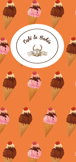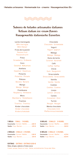**· Helados artesanos · Homemade ice - creams · Hausegemachtes Eis ·**



# Sabores de helados artesanales italianos Artisan italian ice-cream flavors Hausgemachte italienische Eissorten

Leche merengada Milk meringue Milch Baiser Fruta de la pasión Passion fruit Passionsfrucht Fresa Strawberry · Erdbeere Coco Coconut · Kokusnuss Avellana Hazelnut · Haselnuss Pistacho Pistachio · Pistazie Plátano Banana · Banane Mango Mango · Mango Frambuesa Raspberry · Himbeere Mora Blackberry · Heidelbeere Tiramisú Tiramisu · Tiramisu Kinder chocolate Kinder chocolate Kinderschokolade **1 BOLA · 1 BALL · 1 KUGEL**

| Cucurucho / Cornet / Waffel  2,60 € |  |
|-------------------------------------|--|
| Vasito / Cup / Becher 2,25 €        |  |

### **2 BOLAS · 2 BALLS · 2 KUGEL**

| Cucurucho / Cornet / Waffel  3,30 € |  |
|-------------------------------------|--|
| Vasito / Cup / Becher 3,10 €        |  |

#### **EXTRAS · EXTRAS · EXTRAS 0,50 €**

**Nata, siropes, sabores o frutos secos**  Cream, syrups, flavors or nuts · Sahne, aromatisierter Sirup oder Nüss

Chocolate Chocolate · Schokolade Yogurt Yogurt · Joghurt Málaga Málaga · Malaga Dulce de leche Caramel · Karamell Café Coffee · Kaffee Chicle Gum · Kaugummi **Stracciatella** Stracciatella · Stracciatella Vainilla Vanilla · Vanille Cookies Cookies · Cookies Limón Lemon · Zitrone Canela Cinnamon · Zimt Turrón Nougat · Nougat Menta chocolate Chocolate mint Pfefferminzschokolade

#### **3 BOLAS · 3 BALLS · 3 KUGEL Cucurucho** / Cornet / Waffel..........**3,90 € Vasito** / Cup / Becher.....................**3,60 €**

**4 BOLAS · 4 BALLS · 4 KUGEL Cucurucho** / Cornet / Waffel.......... **4,75 € Vasito** / Cup / Becher.....................**4,50 €**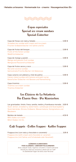**· Helados artesanos · Homemade ice - creams · Hausegemachtes Eis ·**



## Copas especiales Special ice-cream sundaes Spezial-Eisbecher

| Strawberries sundae with cream and ice-cream<br>Frischer Erdbeererbecher mit Sahne und Eis          |  |
|-----------------------------------------------------------------------------------------------------|--|
| Fruits of the forest sundae<br>Waldfrüchtebecher                                                    |  |
| Mango and passion fruit sundae<br>Mangound Passionsfruchtbecher                                     |  |
| Nut and coconut sundae<br>Getrocknete-Früchte-Becher mit Kokosnuss                                  |  |
| Canary island sundae with banana and palm syrup<br>Kanarischer Eisbecher mit Banane und Palmenhonig |  |
| Tiramisú ice-cream sundae<br>Tiramisú Eisbecher                                                     |  |

## Los Clásicos de La Heladería The Classic Ones · Die Klassischen

Las granizadas: limón, fresa, sandía, melón y frambuesa morada...3,00 € Slush: lemon, strawberry, watermelon, cantaloupe and blueraspberry Slush-Getränke: Zitrone, Erdbeere, Wassermelone, Honigmelone und Blaubeere

Batidos de helado.......................................................................4,50 € Milk shakes ice-cream Milch Shakes mit Eis

# Café Frappée · Coffee Frappee · Kaffee Frappee

Frappuccino (con nata y chocolate o caramelo) .......................... 3,95 € Frappuccino (with cream and chocolate or caramel) Frappuccino (mit Sahne und Schokolade oder Karamell)

> **ALÉRGENOS ALIMENTARIOS FOOD ALLERGENS / LEBENSMITTELALLERGENEN** Ante cualquier duda, rogamos consulten a nuestro personal Should you need any assistance, please ask our staff Im Zweifelsfall fragen Sie bitte unser Personal